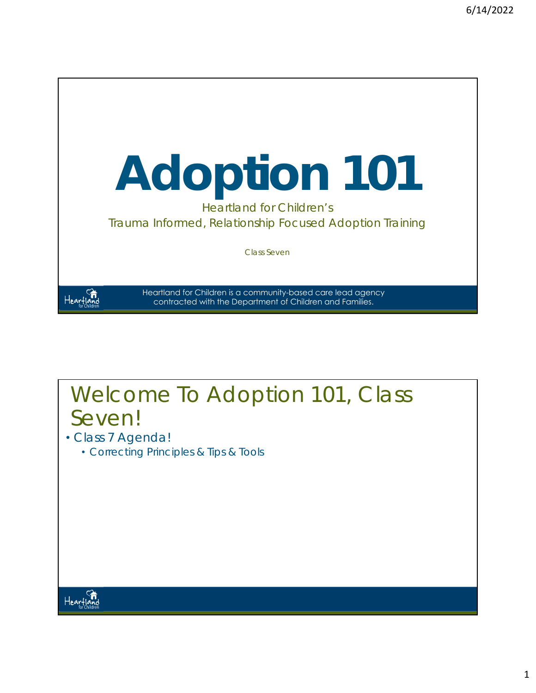

#### Welcome To Adoption 101, Class Seven!

- Class 7 Agenda!
	- Correcting Principles & Tips & Tools

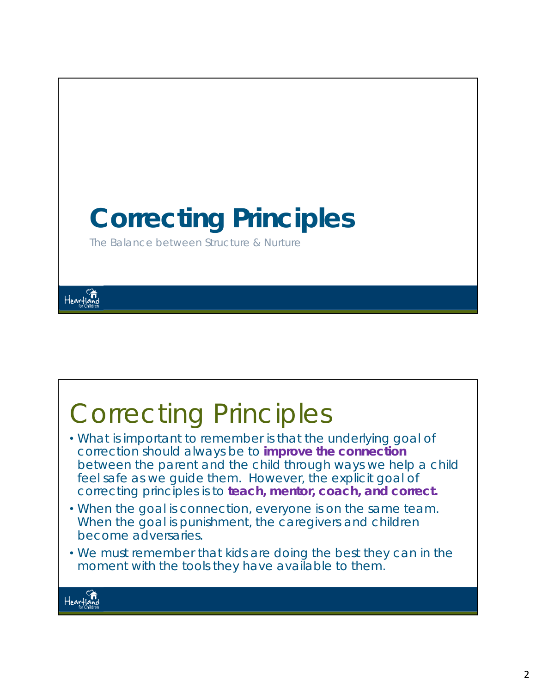

#### Correcting Principles • What is important to remember is that the underlying goal of correction should always be to *improve the connection* between the parent and the child through ways we help a child feel safe as we guide them. However, the explicit goal of correcting principles is to *teach, mentor, coach, and correct***.** • When the goal is connection, everyone is on the same team. When the goal is punishment, the caregivers and children become adversaries. • We must remember that kids are doing the best they can in the moment with the tools they have available to them.Heartland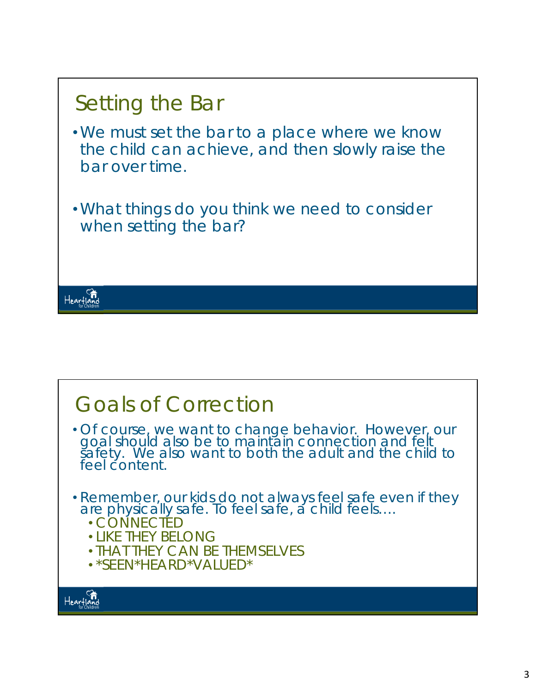

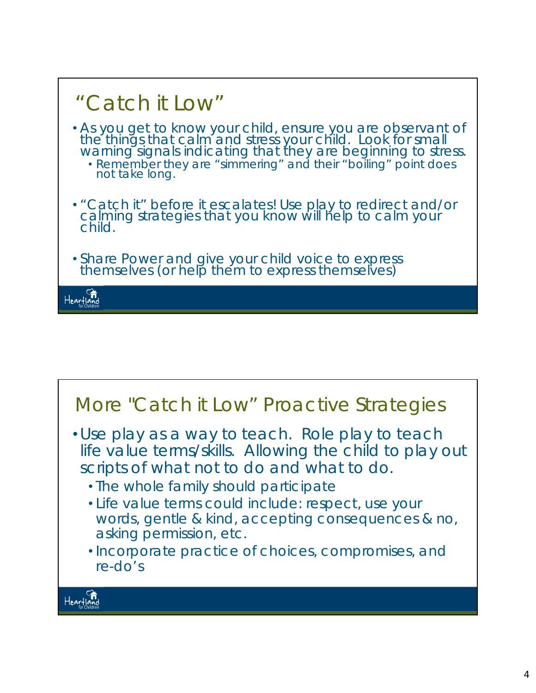

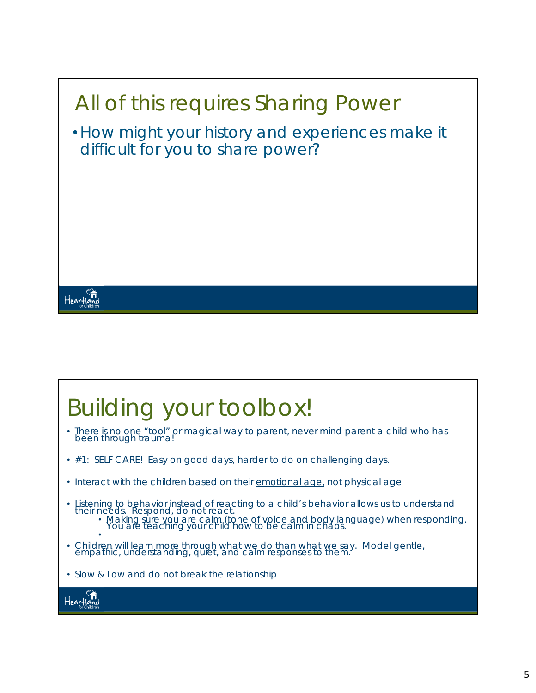

# Building your toolbox!

- There is no one "tool" or magical way to parent, never mind parent a child who has been through trauma!
- #1: SELF CARE! Easy on good days, harder to do on challenging days.
- Interact with the children based on their emotional age, not physical age
- *Listening* to behavior instead of reacting to a child's behavior allows us to understand<br>their needs. *Respond*, do not react.<br>• Making sure you are calm (tone of voice and body language) when responding.<br>You are teachi
- • Children will learn more through what we do than what we say. Model gentle, empathic, understanding, quiet, and calm responses to them.
- Slow & Low and do not break the relationship

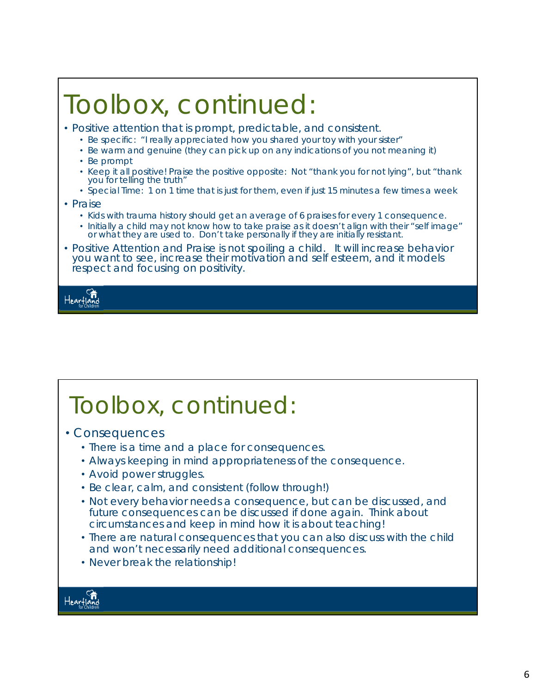# Toolbox, continued:

- Positive attention that is prompt, predictable, and consistent.
	- Be specific: "I really appreciated how you shared your toy with your sister"
	- Be warm and genuine (they can pick up on any indications of you not meaning it)
	- Be prompt
	- Keep it all positive! Praise the positive opposite: Not "thank you for not lying", but "thank you for telling the truth"
	- Special Time: 1 on 1 time that is just for them, even if just 15 minutes a few times a week
- Praise
	- Kids with trauma history should get an average of 6 praises for every 1 consequence.
	- Initially a child may not know how to take praise as it doesn't align with their "self image" or what they are used to. Don't take personally if they are initially resistant.
- Positive Attention and Praise is not spoiling a child. It will increase behavior you want to see, increase their motivation and self esteem, and it models respect and focusing on positivity.

Hearfla

# Toolbox, continued:

- Consequences
	- There is a time and a place for consequences.
	- Always keeping in mind appropriateness of the consequence.
	- Avoid power struggles.
	- Be clear, calm, and consistent (follow through!)
	- Not every behavior needs a consequence, but can be discussed, and future consequences can be discussed if done again. Think about circumstances and keep in mind how it is about teaching!
	- There are natural consequences that you can also discuss with the child and won't necessarily need additional consequences.
	- Never break the relationship!

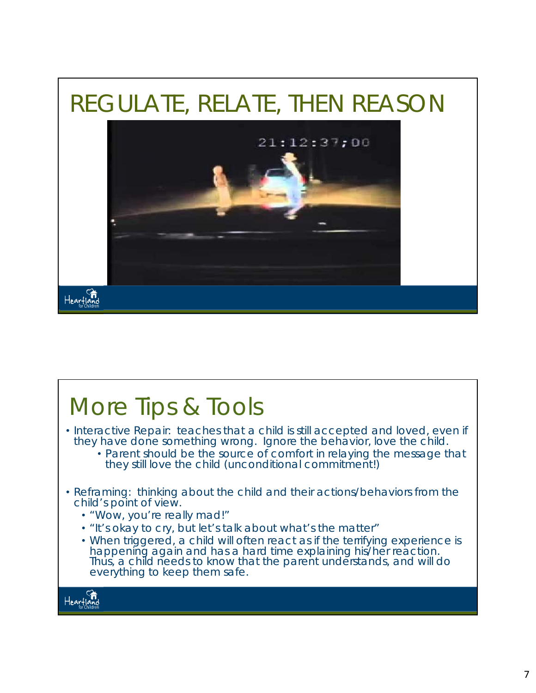

#### More Tips & Tools • Interactive Repair: teaches that a child is still accepted and loved, even if they have done something wrong. *Ignore the behavior, love the child.* • Parent should be the source of comfort in relaying the message that they still love the child (unconditional commitment!) • Reframing: thinking about the child and their actions/behaviors from the child's point of view. • *"Wow, you're really mad!"* • *"It's okay to cry, but let's talk about what's the matter"* • When triggered, a child will often react as if the terrifying experience is happening again and has a hard time explaining his/her reaction. Thus, a child needs to know that the parent understands, and will do everything to keep them safe.Heartland<br>Heartland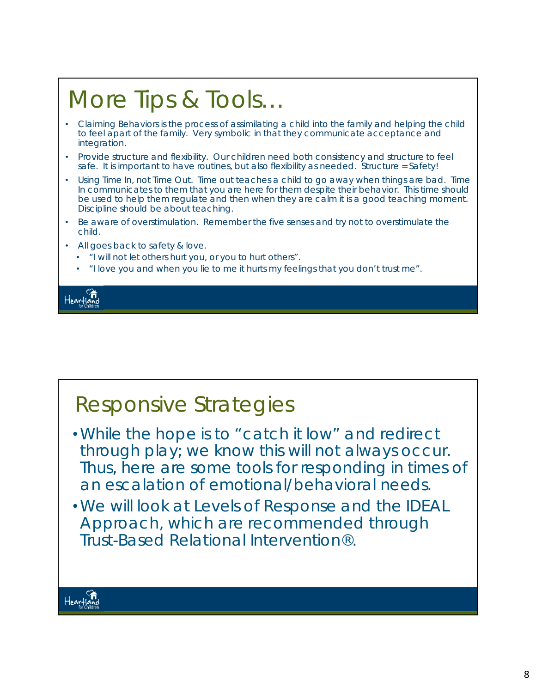# More Tips & Tools…

- Claiming Behaviors is the process of assimilating a child into the family and helping the child to feel apart of the family. Very symbolic in that they communicate acceptance and integration.
- Provide structure and flexibility. Our children need both consistency and structure to feel safe. It is important to have routines, but also flexibility as needed. Structure = Safety!
- Using Time In, not Time Out. Time out teaches a child to go away when things are bad. Time In communicates to them that you are here for them despite their behavior. This time should be used to help them regulate and then when they are calm it is a good teaching moment. Discipline should be about teaching.
- Be aware of overstimulation. Remember the five senses and try not to overstimulate the child.
- All goes back to safety & love.
	- "I will not let others hurt you, or you to hurt others".
	- "I love you and when you lie to me it hurts my feelings that you don't trust me".

Heartla

#### Responsive Strategies

- •While the hope is to "catch it low" and redirect through play; we know this will not always occur. Thus, here are some tools for responding in times of an escalation of emotional/behavioral needs.
- •We will look at Levels of Response and the IDEAL Approach, which are recommended through Trust-Based Relational Intervention®.

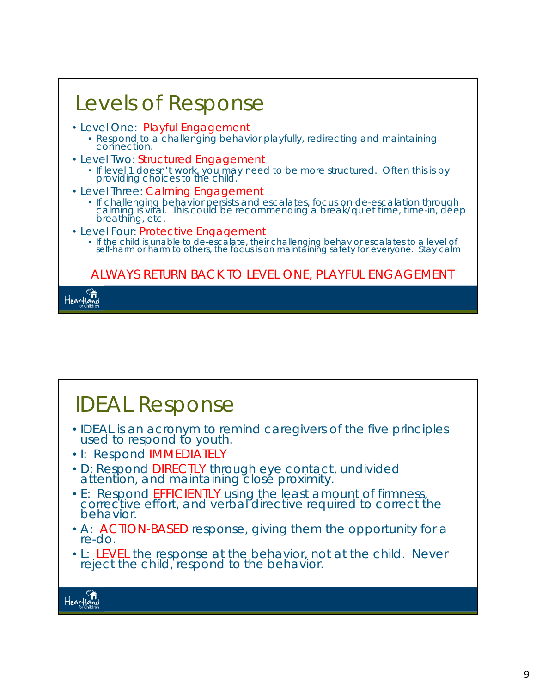| Levels of Response                                                                                                                                                                                                         |
|----------------------------------------------------------------------------------------------------------------------------------------------------------------------------------------------------------------------------|
| · Level One: Playful Engagement<br>• Respond to a challenging behavior playfully, redirecting and maintaining<br>connection.                                                                                               |
| • Level Two: Structured Engagement<br>• If level 1 doesn't work, you may need to be more structured. Often this is by providing choices to the child.                                                                      |
| • Level Three: Calming Engagement<br>• If challenging behavior persists and escalates, focus on de-escalation through<br>calming is vital. This could be recommending a break/quiet time, time-in, deep<br>breathing, etc. |
| · Level Four: Protective Engagement<br>• If the child is unable to de-escalate, their challenging behavior escalates to a level of self-harm or harm to others, the focus is on maintaining safety for everyone. Stay calm |
| ALWAYS RETURN BACK TO LEVEL ONE, PLAYFUL ENGAGEMENT                                                                                                                                                                        |
|                                                                                                                                                                                                                            |

## IDEAL Response

- IDEAL is an acronym to remind caregivers of the five principles used to respond to youth.
- I: Respond *IMMEDIATELY*
- D: Respond *DIRECTLY* through eye contact, undivided attention, and maintaining close proximity.
- E: Respond *EFFICIENTLY* using the least amount of firmness, corrective effort, and verbal directive required to correct the behavior.
- A: *ACTION-BASED* response, giving them the opportunity for a re-do.
- L: *LEVEL* the response at the behavior, not at the child. Never reject the child, respond to the behavior.



٦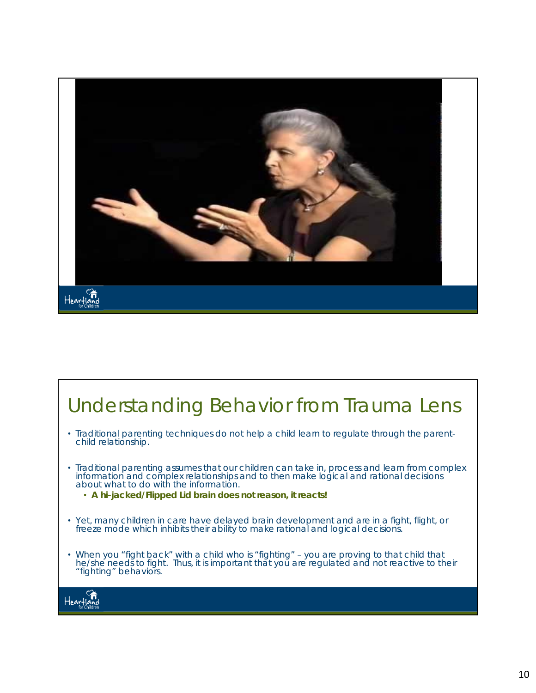

## Understanding Behavior from Trauma Lens

- Traditional parenting techniques do not help a child learn to regulate through the parentchild relationship.
- Traditional parenting assumes that our children can take in, process and learn from complex information and complex relationships and to then make logical and rational decisions about what to do with the information.
	- **A hi-jacked/Flipped Lid brain does not reason, it reacts!**
- Yet, many children in care have delayed brain development and are in a fight, flight, or freeze mode which inhibits their ability to make rational and logical decisions.
- When you "fight back" with a child who is "fighting" you are proving to that child that he/she needs to fight. Thus, it is important that you are regulated and not reactive to their "fighting" behaviors.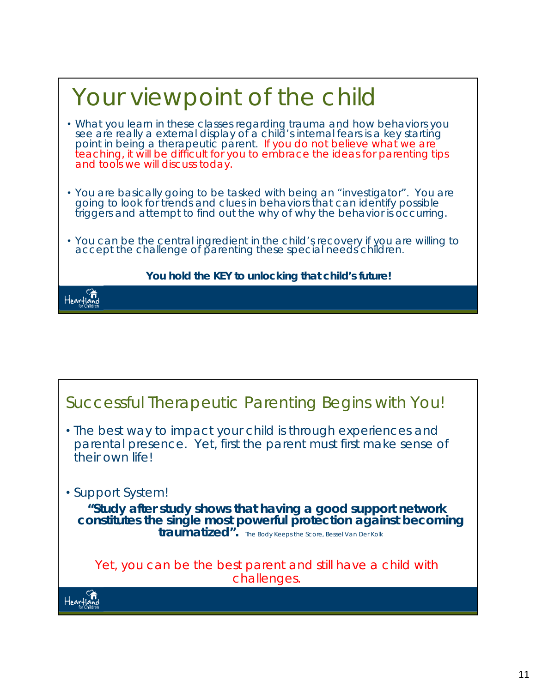